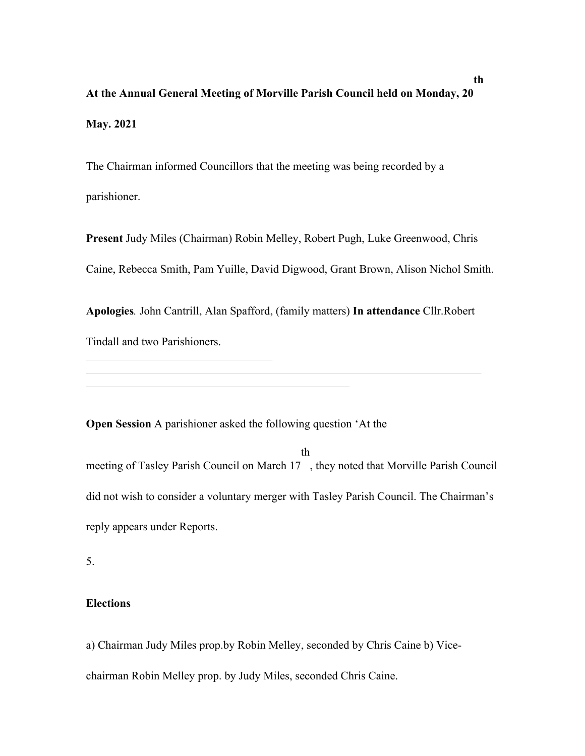# **At the Annual General Meeting of Morville Parish Council held on Monday, 20 May. 2021**

The Chairman informed Councillors that the meeting was being recorded by a parishioner.

**Present** Judy Miles (Chairman) Robin Melley, Robert Pugh, Luke Greenwood, Chris Caine, Rebecca Smith, Pam Yuille, David Digwood, Grant Brown, Alison Nichol Smith.

**Apologies***.* John Cantrill, Alan Spafford, (family matters) **In attendance** Cllr.Robert Tindall and two Parishioners.

**Open Session** A parishioner asked the following question 'At the

th

meeting of Tasley Parish Council on March 17 , they noted that Morville Parish Council did not wish to consider a voluntary merger with Tasley Parish Council. The Chairman's reply appears under Reports.

5.

### **Elections**

a) Chairman Judy Miles prop.by Robin Melley, seconded by Chris Caine b) Vicechairman Robin Melley prop. by Judy Miles, seconded Chris Caine.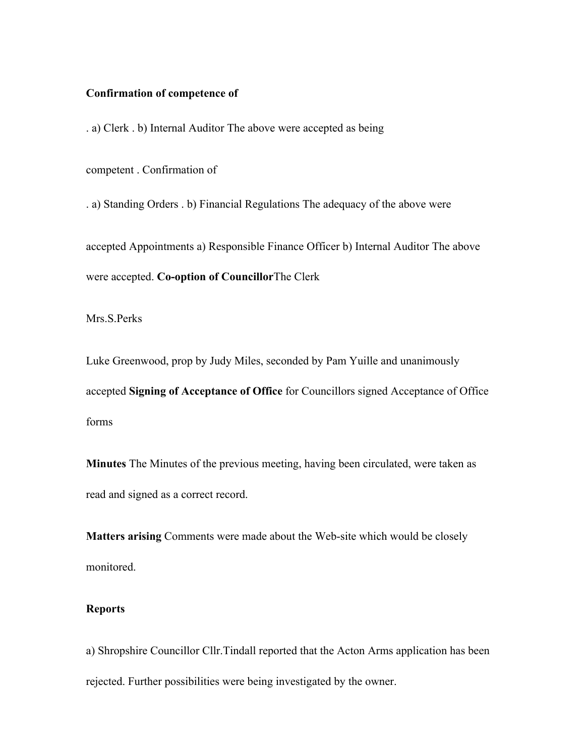#### **Confirmation of competence of**

. a) Clerk . b) Internal Auditor The above were accepted as being

competent . Confirmation of

. a) Standing Orders . b) Financial Regulations The adequacy of the above were

accepted Appointments a) Responsible Finance Officer b) Internal Auditor The above were accepted. **Co-option of Councillor**The Clerk

Mrs.S.Perks

Luke Greenwood, prop by Judy Miles, seconded by Pam Yuille and unanimously accepted **Signing of Acceptance of Office** for Councillors signed Acceptance of Office forms

**Minutes** The Minutes of the previous meeting, having been circulated, were taken as read and signed as a correct record.

**Matters arising** Comments were made about the Web-site which would be closely monitored.

### **Reports**

a) Shropshire Councillor Cllr.Tindall reported that the Acton Arms application has been rejected. Further possibilities were being investigated by the owner.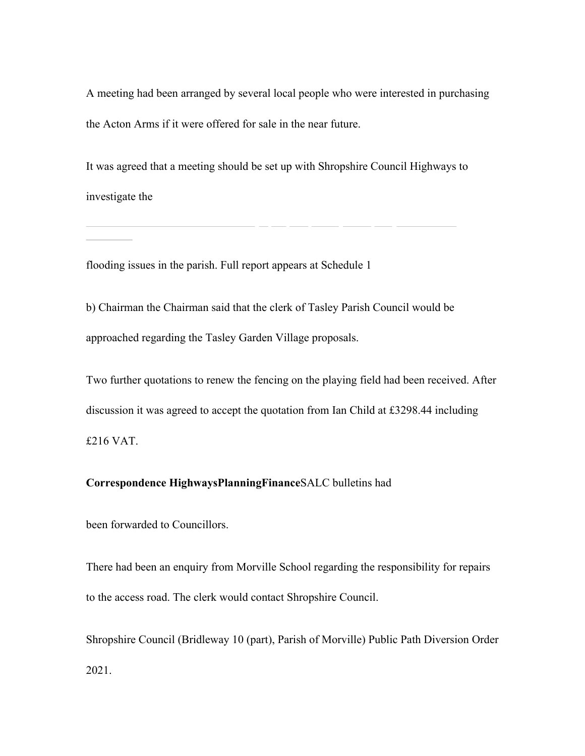A meeting had been arranged by several local people who were interested in purchasing the Acton Arms if it were offered for sale in the near future.

It was agreed that a meeting should be set up with Shropshire Council Highways to investigate the

flooding issues in the parish. Full report appears at Schedule 1

b) Chairman the Chairman said that the clerk of Tasley Parish Council would be approached regarding the Tasley Garden Village proposals.

Two further quotations to renew the fencing on the playing field had been received. After discussion it was agreed to accept the quotation from Ian Child at £3298.44 including £216 VAT.

## **Correspondence HighwaysPlanningFinance**SALC bulletins had

been forwarded to Councillors.

There had been an enquiry from Morville School regarding the responsibility for repairs to the access road. The clerk would contact Shropshire Council.

Shropshire Council (Bridleway 10 (part), Parish of Morville) Public Path Diversion Order 2021.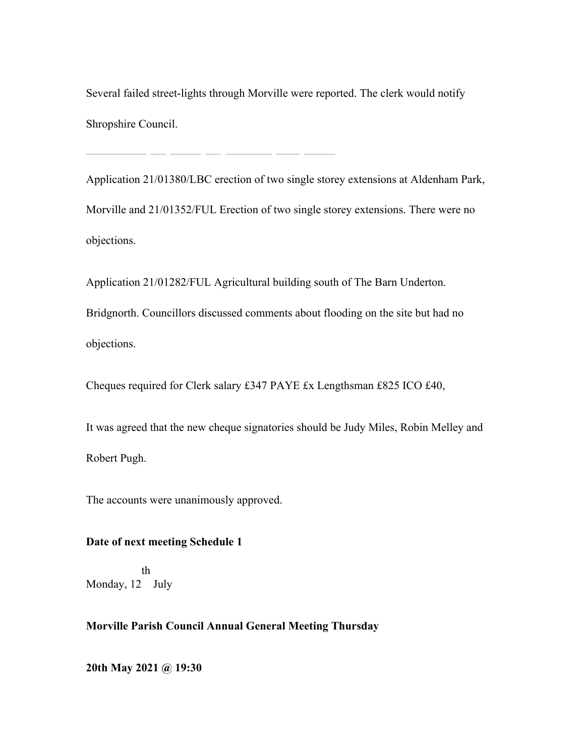Several failed street-lights through Morville were reported. The clerk would notify Shropshire Council.

Application 21/01380/LBC erection of two single storey extensions at Aldenham Park, Morville and 21/01352/FUL Erection of two single storey extensions. There were no objections.

Application 21/01282/FUL Agricultural building south of The Barn Underton.

Bridgnorth. Councillors discussed comments about flooding on the site but had no objections.

Cheques required for Clerk salary £347 PAYE £x Lengthsman £825 ICO £40,

It was agreed that the new cheque signatories should be Judy Miles, Robin Melley and Robert Pugh.

The accounts were unanimously approved.

## **Date of next meeting Schedule 1**

Monday, 12 July th

## **Morville Parish Council Annual General Meeting Thursday**

**20th May 2021 @ 19:30**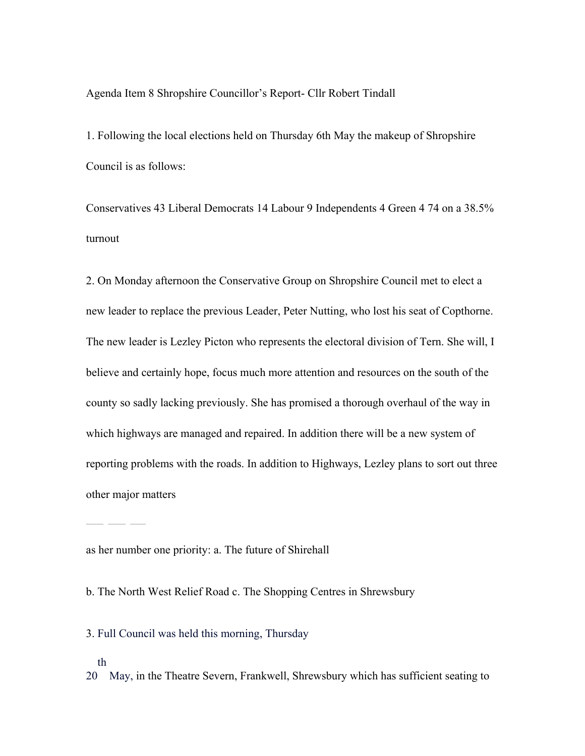Agenda Item 8 Shropshire Councillor's Report- Cllr Robert Tindall

1. Following the local elections held on Thursday 6th May the makeup of Shropshire Council is as follows:

Conservatives 43 Liberal Democrats 14 Labour 9 Independents 4 Green 4 74 on a 38.5% turnout

2. On Monday afternoon the Conservative Group on Shropshire Council met to elect a new leader to replace the previous Leader, Peter Nutting, who lost his seat of Copthorne. The new leader is Lezley Picton who represents the electoral division of Tern. She will, I believe and certainly hope, focus much more attention and resources on the south of the county so sadly lacking previously. She has promised a thorough overhaul of the way in which highways are managed and repaired. In addition there will be a new system of reporting problems with the roads. In addition to Highways, Lezley plans to sort out three other major matters

as her number one priority: a. The future of Shirehall

b. The North West Relief Road c. The Shopping Centres in Shrewsbury

3. Full Council was held this morning, Thursday

th

20 May, in the Theatre Severn, Frankwell, Shrewsbury which has sufficient seating to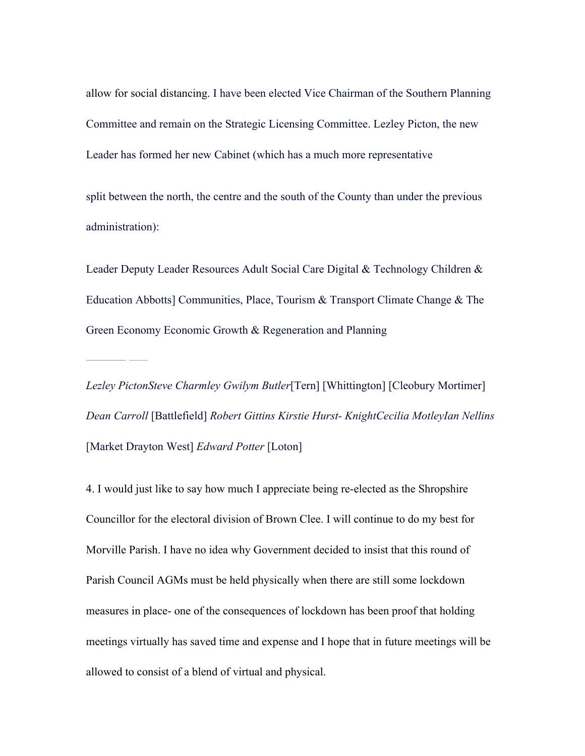allow for social distancing. I have been elected Vice Chairman of the Southern Planning Committee and remain on the Strategic Licensing Committee. Lezley Picton, the new Leader has formed her new Cabinet (which has a much more representative

split between the north, the centre and the south of the County than under the previous administration):

Leader Deputy Leader Resources Adult Social Care Digital & Technology Children & Education Abbotts] Communities, Place, Tourism & Transport Climate Change & The Green Economy Economic Growth & Regeneration and Planning

*Lezley PictonSteve Charmley Gwilym Butler*[Tern] [Whittington] [Cleobury Mortimer] *Dean Carroll* [Battlefield] *Robert Gittins Kirstie Hurst- KnightCecilia MotleyIan Nellins*  [Market Drayton West] *Edward Potter* [Loton]

4. I would just like to say how much I appreciate being re-elected as the Shropshire Councillor for the electoral division of Brown Clee. I will continue to do my best for Morville Parish. I have no idea why Government decided to insist that this round of Parish Council AGMs must be held physically when there are still some lockdown measures in place- one of the consequences of lockdown has been proof that holding meetings virtually has saved time and expense and I hope that in future meetings will be allowed to consist of a blend of virtual and physical.